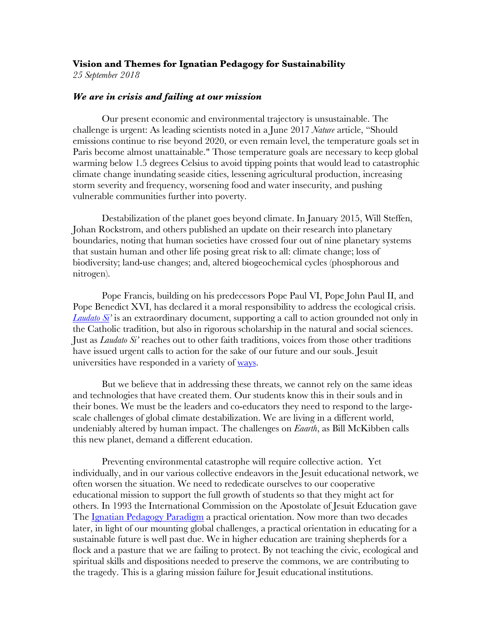# **Vision and Themes for Ignatian Pedagogy for Sustainability**

*25 September 2018*

## *We are in crisis and failing at our mission*

Our present economic and environmental trajectory is unsustainable. The challenge is urgent: As leading scientists noted in a June 2017 *Nature* article, "Should emissions continue to rise beyond 2020, or even remain level, the temperature goals set in Paris become almost unattainable." Those temperature goals are necessary to keep global warming below 1.5 degrees Celsius to avoid tipping points that would lead to catastrophic climate change inundating seaside cities, lessening agricultural production, increasing storm severity and frequency, worsening food and water insecurity, and pushing vulnerable communities further into poverty.

Destabilization of the planet goes beyond climate. In January 2015, Will Steffen, Johan Rockstrom, and others published an update on their research into planetary boundaries, noting that human societies have crossed four out of nine planetary systems that sustain human and other life posing great risk to all: climate change; loss of biodiversity; land-use changes; and, altered biogeochemical cycles (phosphorous and nitrogen).

Pope Francis, building on his predecessors Pope Paul VI, Pope John Paul II, and Pope Benedict XVI, has declared it a moral responsibility to address the ecological crisis. *Laudato Si'* is an extraordinary document, supporting a call to action grounded not only in the Catholic tradition, but also in rigorous scholarship in the natural and social sciences. Just as *Laudato Si'* reaches out to other faith traditions, voices from those other traditions have issued urgent calls to action for the sake of our future and our souls. Jesuit universities have responded in a variety of ways.

But we believe that in addressing these threats, we cannot rely on the same ideas and technologies that have created them. Our students know this in their souls and in their bones. We must be the leaders and co-educators they need to respond to the largescale challenges of global climate destabilization. We are living in a different world, undeniably altered by human impact. The challenges on *Eaarth*, as Bill McKibben calls this new planet, demand a different education.

Preventing environmental catastrophe will require collective action. Yet individually, and in our various collective endeavors in the Jesuit educational network, we often worsen the situation. We need to rededicate ourselves to our cooperative educational mission to support the full growth of students so that they might act for others. In 1993 the International Commission on the Apostolate of Jesuit Education gave The **Ignatian Pedagogy Paradigm** a practical orientation. Now more than two decades later, in light of our mounting global challenges, a practical orientation in educating for a sustainable future is well past due. We in higher education are training shepherds for a flock and a pasture that we are failing to protect. By not teaching the civic, ecological and spiritual skills and dispositions needed to preserve the commons, we are contributing to the tragedy. This is a glaring mission failure for Jesuit educational institutions.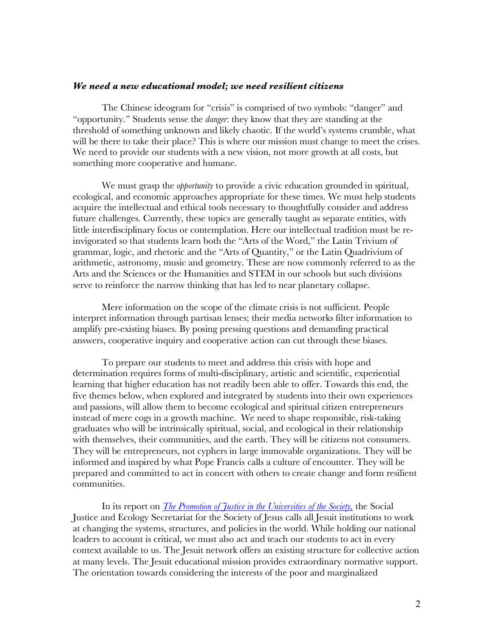### *We need a new educational model; we need resilient citizens*

The Chinese ideogram for "crisis" is comprised of two symbols: "danger" and "opportunity." Students sense the *danger*: they know that they are standing at the threshold of something unknown and likely chaotic. If the world's systems crumble, what will be there to take their place? This is where our mission must change to meet the crises. We need to provide our students with a new vision, not more growth at all costs, but something more cooperative and humane.

We must grasp the *opportunity* to provide a civic education grounded in spiritual, ecological, and economic approaches appropriate for these times. We must help students acquire the intellectual and ethical tools necessary to thoughtfully consider and address future challenges. Currently, these topics are generally taught as separate entities, with little interdisciplinary focus or contemplation. Here our intellectual tradition must be reinvigorated so that students learn both the "Arts of the Word," the Latin Trivium of grammar, logic, and rhetoric and the "Arts of Quantity," or the Latin Quadrivium of arithmetic, astronomy, music and geometry. These are now commonly referred to as the Arts and the Sciences or the Humanities and STEM in our schools but such divisions serve to reinforce the narrow thinking that has led to near planetary collapse.

Mere information on the scope of the climate crisis is not sufficient. People interpret information through partisan lenses; their media networks filter information to amplify pre-existing biases. By posing pressing questions and demanding practical answers, cooperative inquiry and cooperative action can cut through these biases.

To prepare our students to meet and address this crisis with hope and determination requires forms of multi-disciplinary, artistic and scientific, experiential learning that higher education has not readily been able to offer. Towards this end, the five themes below, when explored and integrated by students into their own experiences and passions, will allow them to become ecological and spiritual citizen entrepreneurs instead of mere cogs in a growth machine. We need to shape responsible, risk-taking graduates who will be intrinsically spiritual, social, and ecological in their relationship with themselves, their communities, and the earth. They will be citizens not consumers. They will be entrepreneurs, not cyphers in large immovable organizations. They will be informed and inspired by what Pope Francis calls a culture of encounter. They will be prepared and committed to act in concert with others to create change and form resilient communities.

In its report on *The Promotion of Justice in the Universities of the Society,* the Social Justice and Ecology Secretariat for the Society of Jesus calls all Jesuit institutions to work at changing the systems, structures, and policies in the world. While holding our national leaders to account is critical, we must also act and teach our students to act in every context available to us. The Jesuit network offers an existing structure for collective action at many levels. The Jesuit educational mission provides extraordinary normative support. The orientation towards considering the interests of the poor and marginalized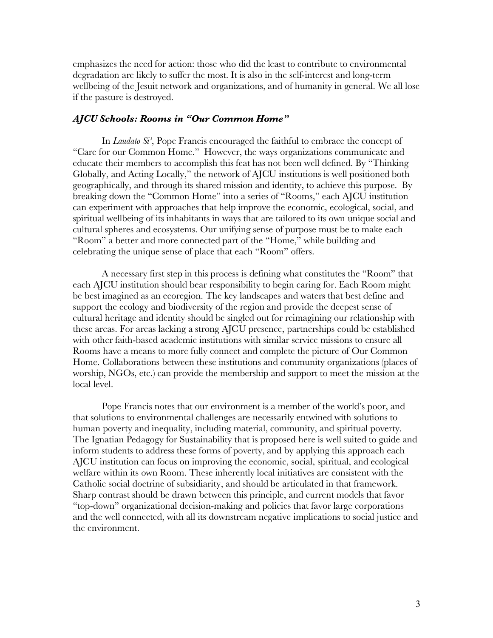emphasizes the need for action: those who did the least to contribute to environmental degradation are likely to suffer the most. It is also in the self-interest and long-term wellbeing of the Jesuit network and organizations, and of humanity in general. We all lose if the pasture is destroyed.

### *AJCU Schools: Rooms in "Our Common Home"*

In *Laudato Si'*, Pope Francis encouraged the faithful to embrace the concept of "Care for our Common Home." However, the ways organizations communicate and educate their members to accomplish this feat has not been well defined. By "Thinking Globally, and Acting Locally," the network of AJCU institutions is well positioned both geographically, and through its shared mission and identity, to achieve this purpose. By breaking down the "Common Home" into a series of "Rooms," each AJCU institution can experiment with approaches that help improve the economic, ecological, social, and spiritual wellbeing of its inhabitants in ways that are tailored to its own unique social and cultural spheres and ecosystems. Our unifying sense of purpose must be to make each "Room" a better and more connected part of the "Home," while building and celebrating the unique sense of place that each "Room" offers.

A necessary first step in this process is defining what constitutes the "Room" that each AJCU institution should bear responsibility to begin caring for. Each Room might be best imagined as an ecoregion. The key landscapes and waters that best define and support the ecology and biodiversity of the region and provide the deepest sense of cultural heritage and identity should be singled out for reimagining our relationship with these areas. For areas lacking a strong AJCU presence, partnerships could be established with other faith-based academic institutions with similar service missions to ensure all Rooms have a means to more fully connect and complete the picture of Our Common Home. Collaborations between these institutions and community organizations (places of worship, NGOs, etc.) can provide the membership and support to meet the mission at the local level.

Pope Francis notes that our environment is a member of the world's poor, and that solutions to environmental challenges are necessarily entwined with solutions to human poverty and inequality, including material, community, and spiritual poverty. The Ignatian Pedagogy for Sustainability that is proposed here is well suited to guide and inform students to address these forms of poverty, and by applying this approach each AJCU institution can focus on improving the economic, social, spiritual, and ecological welfare within its own Room. These inherently local initiatives are consistent with the Catholic social doctrine of subsidiarity, and should be articulated in that framework. Sharp contrast should be drawn between this principle, and current models that favor "top-down" organizational decision-making and policies that favor large corporations and the well connected, with all its downstream negative implications to social justice and the environment.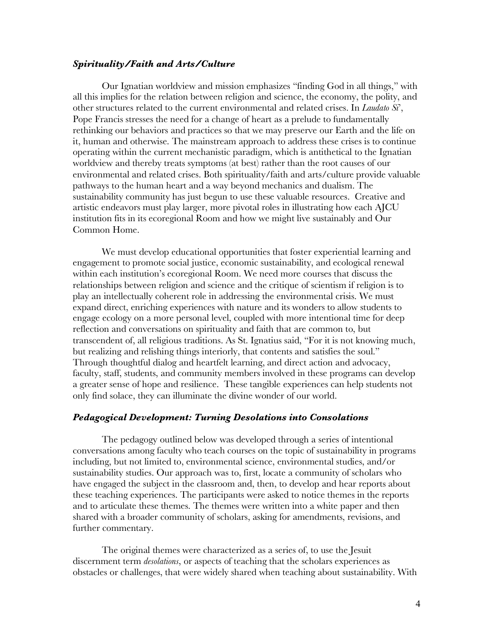#### *Spirituality/Faith and Arts/Culture*

Our Ignatian worldview and mission emphasizes "finding God in all things," with all this implies for the relation between religion and science, the economy, the polity, and other structures related to the current environmental and related crises. In *Laudato Si*', Pope Francis stresses the need for a change of heart as a prelude to fundamentally rethinking our behaviors and practices so that we may preserve our Earth and the life on it, human and otherwise. The mainstream approach to address these crises is to continue operating within the current mechanistic paradigm, which is antithetical to the Ignatian worldview and thereby treats symptoms (at best) rather than the root causes of our environmental and related crises. Both spirituality/faith and arts/culture provide valuable pathways to the human heart and a way beyond mechanics and dualism. The sustainability community has just begun to use these valuable resources. Creative and artistic endeavors must play larger, more pivotal roles in illustrating how each AJCU institution fits in its ecoregional Room and how we might live sustainably and Our Common Home.

We must develop educational opportunities that foster experiential learning and engagement to promote social justice, economic sustainability, and ecological renewal within each institution's ecoregional Room. We need more courses that discuss the relationships between religion and science and the critique of scientism if religion is to play an intellectually coherent role in addressing the environmental crisis. We must expand direct, enriching experiences with nature and its wonders to allow students to engage ecology on a more personal level, coupled with more intentional time for deep reflection and conversations on spirituality and faith that are common to, but transcendent of, all religious traditions. As St. Ignatius said, "For it is not knowing much, but realizing and relishing things interiorly, that contents and satisfies the soul." Through thoughtful dialog and heartfelt learning, and direct action and advocacy, faculty, staff, students, and community members involved in these programs can develop a greater sense of hope and resilience. These tangible experiences can help students not only find solace, they can illuminate the divine wonder of our world.

### *Pedagogical Development: Turning Desolations into Consolations*

The pedagogy outlined below was developed through a series of intentional conversations among faculty who teach courses on the topic of sustainability in programs including, but not limited to, environmental science, environmental studies, and/or sustainability studies. Our approach was to, first, locate a community of scholars who have engaged the subject in the classroom and, then, to develop and hear reports about these teaching experiences. The participants were asked to notice themes in the reports and to articulate these themes. The themes were written into a white paper and then shared with a broader community of scholars, asking for amendments, revisions, and further commentary.

The original themes were characterized as a series of, to use the Jesuit discernment term *desolations*, or aspects of teaching that the scholars experiences as obstacles or challenges, that were widely shared when teaching about sustainability. With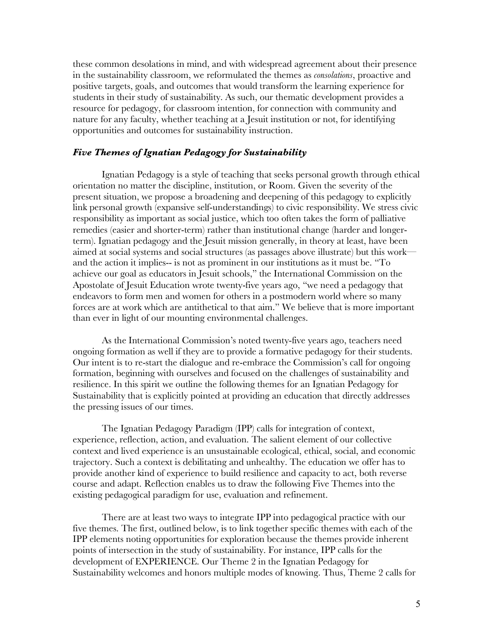these common desolations in mind, and with widespread agreement about their presence in the sustainability classroom, we reformulated the themes as *consolations*, proactive and positive targets, goals, and outcomes that would transform the learning experience for students in their study of sustainability. As such, our thematic development provides a resource for pedagogy, for classroom intention, for connection with community and nature for any faculty, whether teaching at a Jesuit institution or not, for identifying opportunities and outcomes for sustainability instruction.

## *Five Themes of Ignatian Pedagogy for Sustainability*

Ignatian Pedagogy is a style of teaching that seeks personal growth through ethical orientation no matter the discipline, institution, or Room. Given the severity of the present situation, we propose a broadening and deepening of this pedagogy to explicitly link personal growth (expansive self-understandings) to civic responsibility. We stress civic responsibility as important as social justice, which too often takes the form of palliative remedies (easier and shorter-term) rather than institutional change (harder and longerterm). Ignatian pedagogy and the Jesuit mission generally, in theory at least, have been aimed at social systems and social structures (as passages above illustrate) but this work and the action it implies-- is not as prominent in our institutions as it must be. "To achieve our goal as educators in Jesuit schools," the International Commission on the Apostolate of Jesuit Education wrote twenty-five years ago, "we need a pedagogy that endeavors to form men and women for others in a postmodern world where so many forces are at work which are antithetical to that aim." We believe that is more important than ever in light of our mounting environmental challenges.

As the International Commission's noted twenty-five years ago, teachers need ongoing formation as well if they are to provide a formative pedagogy for their students. Our intent is to re-start the dialogue and re-embrace the Commission's call for ongoing formation, beginning with ourselves and focused on the challenges of sustainability and resilience. In this spirit we outline the following themes for an Ignatian Pedagogy for Sustainability that is explicitly pointed at providing an education that directly addresses the pressing issues of our times.

The Ignatian Pedagogy Paradigm (IPP) calls for integration of context, experience, reflection, action, and evaluation. The salient element of our collective context and lived experience is an unsustainable ecological, ethical, social, and economic trajectory. Such a context is debilitating and unhealthy. The education we offer has to provide another kind of experience to build resilience and capacity to act, both reverse course and adapt. Reflection enables us to draw the following Five Themes into the existing pedagogical paradigm for use, evaluation and refinement.

There are at least two ways to integrate IPP into pedagogical practice with our five themes. The first, outlined below, is to link together specific themes with each of the IPP elements noting opportunities for exploration because the themes provide inherent points of intersection in the study of sustainability. For instance, IPP calls for the development of EXPERIENCE. Our Theme 2 in the Ignatian Pedagogy for Sustainability welcomes and honors multiple modes of knowing. Thus, Theme 2 calls for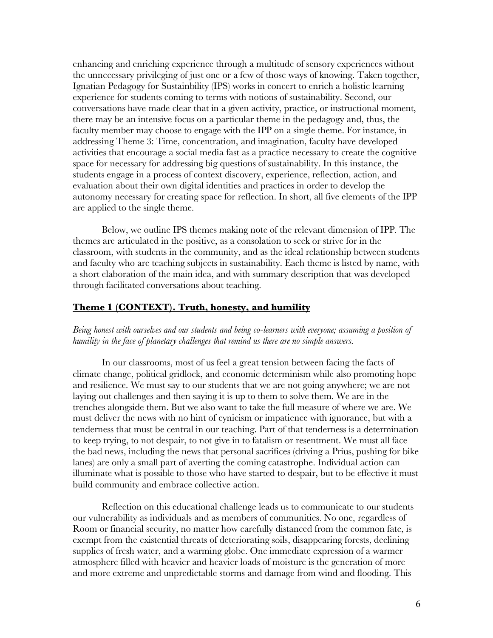enhancing and enriching experience through a multitude of sensory experiences without the unnecessary privileging of just one or a few of those ways of knowing. Taken together, Ignatian Pedagogy for Sustainbility (IPS) works in concert to enrich a holistic learning experience for students coming to terms with notions of sustainability. Second, our conversations have made clear that in a given activity, practice, or instructional moment, there may be an intensive focus on a particular theme in the pedagogy and, thus, the faculty member may choose to engage with the IPP on a single theme. For instance, in addressing Theme 3: Time, concentration, and imagination, faculty have developed activities that encourage a social media fast as a practice necessary to create the cognitive space for necessary for addressing big questions of sustainability. In this instance, the students engage in a process of context discovery, experience, reflection, action, and evaluation about their own digital identities and practices in order to develop the autonomy necessary for creating space for reflection. In short, all five elements of the IPP are applied to the single theme.

Below, we outline IPS themes making note of the relevant dimension of IPP. The themes are articulated in the positive, as a consolation to seek or strive for in the classroom, with students in the community, and as the ideal relationship between students and faculty who are teaching subjects in sustainability. Each theme is listed by name, with a short elaboration of the main idea, and with summary description that was developed through facilitated conversations about teaching.

## **Theme 1 (CONTEXT). Truth, honesty, and humility**

*Being honest with ourselves and our students and being co-learners with everyone; assuming a position of humility in the face of planetary challenges that remind us there are no simple answers.*

In our classrooms, most of us feel a great tension between facing the facts of climate change, political gridlock, and economic determinism while also promoting hope and resilience. We must say to our students that we are not going anywhere; we are not laying out challenges and then saying it is up to them to solve them. We are in the trenches alongside them. But we also want to take the full measure of where we are. We must deliver the news with no hint of cynicism or impatience with ignorance, but with a tenderness that must be central in our teaching. Part of that tenderness is a determination to keep trying, to not despair, to not give in to fatalism or resentment. We must all face the bad news, including the news that personal sacrifices (driving a Prius, pushing for bike lanes) are only a small part of averting the coming catastrophe. Individual action can illuminate what is possible to those who have started to despair, but to be effective it must build community and embrace collective action.

Reflection on this educational challenge leads us to communicate to our students our vulnerability as individuals and as members of communities. No one, regardless of Room or financial security, no matter how carefully distanced from the common fate, is exempt from the existential threats of deteriorating soils, disappearing forests, declining supplies of fresh water, and a warming globe. One immediate expression of a warmer atmosphere filled with heavier and heavier loads of moisture is the generation of more and more extreme and unpredictable storms and damage from wind and flooding. This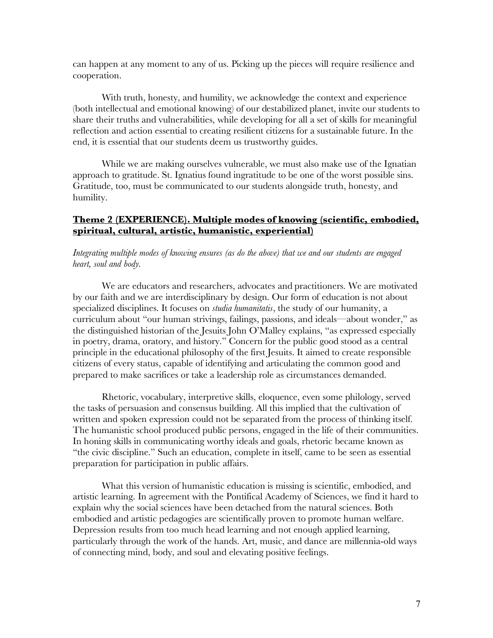can happen at any moment to any of us. Picking up the pieces will require resilience and cooperation.

With truth, honesty, and humility, we acknowledge the context and experience (both intellectual and emotional knowing) of our destabilized planet, invite our students to share their truths and vulnerabilities, while developing for all a set of skills for meaningful reflection and action essential to creating resilient citizens for a sustainable future. In the end, it is essential that our students deem us trustworthy guides.

While we are making ourselves vulnerable, we must also make use of the Ignatian approach to gratitude. St. Ignatius found ingratitude to be one of the worst possible sins. Gratitude, too, must be communicated to our students alongside truth, honesty, and humility.

# **Theme 2 (EXPERIENCE). Multiple modes of knowing (scientific, embodied, spiritual, cultural, artistic, humanistic, experiential)**

*Integrating multiple modes of knowing ensures (as do the above) that we and our students are engaged heart, soul and body.*

We are educators and researchers, advocates and practitioners. We are motivated by our faith and we are interdisciplinary by design. Our form of education is not about specialized disciplines. It focuses on *studia humanitatis*, the study of our humanity, a curriculum about "our human strivings, failings, passions, and ideals—about wonder," as the distinguished historian of the Jesuits John O'Malley explains, "as expressed especially in poetry, drama, oratory, and history." Concern for the public good stood as a central principle in the educational philosophy of the first Jesuits. It aimed to create responsible citizens of every status, capable of identifying and articulating the common good and prepared to make sacrifices or take a leadership role as circumstances demanded.

 Rhetoric, vocabulary, interpretive skills, eloquence, even some philology, served the tasks of persuasion and consensus building. All this implied that the cultivation of written and spoken expression could not be separated from the process of thinking itself. The humanistic school produced public persons, engaged in the life of their communities. In honing skills in communicating worthy ideals and goals, rhetoric became known as "the civic discipline." Such an education, complete in itself, came to be seen as essential preparation for participation in public affairs.

What this version of humanistic education is missing is scientific, embodied, and artistic learning. In agreement with the Pontifical Academy of Sciences, we find it hard to explain why the social sciences have been detached from the natural sciences. Both embodied and artistic pedagogies are scientifically proven to promote human welfare. Depression results from too much head learning and not enough applied learning, particularly through the work of the hands. Art, music, and dance are millennia-old ways of connecting mind, body, and soul and elevating positive feelings.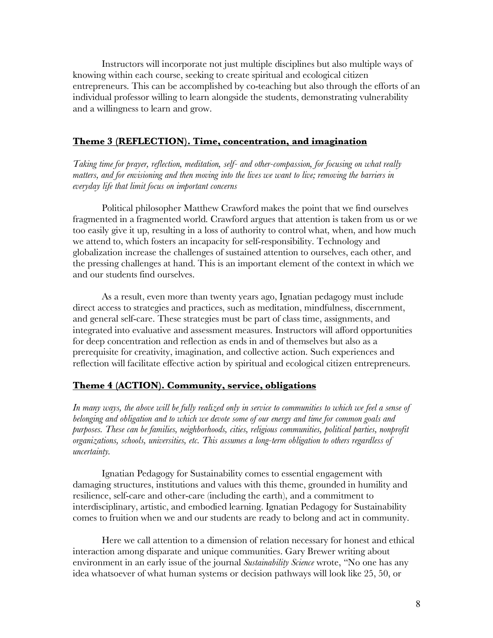Instructors will incorporate not just multiple disciplines but also multiple ways of knowing within each course, seeking to create spiritual and ecological citizen entrepreneurs. This can be accomplished by co-teaching but also through the efforts of an individual professor willing to learn alongside the students, demonstrating vulnerability and a willingness to learn and grow.

# **Theme 3 (REFLECTION). Time, concentration, and imagination**

*Taking time for prayer, reflection, meditation, self- and other-compassion, for focusing on what really matters, and for envisioning and then moving into the lives we want to live; removing the barriers in everyday life that limit focus on important concerns*

Political philosopher Matthew Crawford makes the point that we find ourselves fragmented in a fragmented world. Crawford argues that attention is taken from us or we too easily give it up, resulting in a loss of authority to control what, when, and how much we attend to, which fosters an incapacity for self-responsibility. Technology and globalization increase the challenges of sustained attention to ourselves, each other, and the pressing challenges at hand. This is an important element of the context in which we and our students find ourselves.

As a result, even more than twenty years ago, Ignatian pedagogy must include direct access to strategies and practices, such as meditation, mindfulness, discernment, and general self-care. These strategies must be part of class time, assignments, and integrated into evaluative and assessment measures. Instructors will afford opportunities for deep concentration and reflection as ends in and of themselves but also as a prerequisite for creativity, imagination, and collective action. Such experiences and reflection will facilitate effective action by spiritual and ecological citizen entrepreneurs.

# **Theme 4 (ACTION). Community, service, obligations**

*In many ways, the above will be fully realized only in service to communities to which we feel a sense of belonging and obligation and to which we devote some of our energy and time for common goals and purposes. These can be families, neighborhoods, cities, religious communities, political parties, nonprofit organizations, schools, universities, etc. This assumes a long-term obligation to others regardless of uncertainty.*

Ignatian Pedagogy for Sustainability comes to essential engagement with damaging structures, institutions and values with this theme, grounded in humility and resilience, self-care and other-care (including the earth), and a commitment to interdisciplinary, artistic, and embodied learning. Ignatian Pedagogy for Sustainability comes to fruition when we and our students are ready to belong and act in community.

Here we call attention to a dimension of relation necessary for honest and ethical interaction among disparate and unique communities. Gary Brewer writing about environment in an early issue of the journal *Sustainability Science* wrote, "No one has any idea whatsoever of what human systems or decision pathways will look like 25, 50, or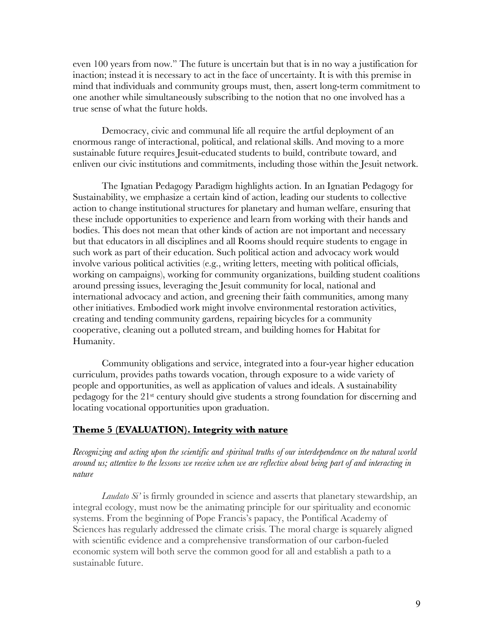even 100 years from now." The future is uncertain but that is in no way a justification for inaction; instead it is necessary to act in the face of uncertainty. It is with this premise in mind that individuals and community groups must, then, assert long-term commitment to one another while simultaneously subscribing to the notion that no one involved has a true sense of what the future holds.

Democracy, civic and communal life all require the artful deployment of an enormous range of interactional, political, and relational skills. And moving to a more sustainable future requires Jesuit-educated students to build, contribute toward, and enliven our civic institutions and commitments, including those within the Jesuit network.

The Ignatian Pedagogy Paradigm highlights action. In an Ignatian Pedagogy for Sustainability, we emphasize a certain kind of action, leading our students to collective action to change institutional structures for planetary and human welfare, ensuring that these include opportunities to experience and learn from working with their hands and bodies. This does not mean that other kinds of action are not important and necessary but that educators in all disciplines and all Rooms should require students to engage in such work as part of their education. Such political action and advocacy work would involve various political activities (e.g., writing letters, meeting with political officials, working on campaigns), working for community organizations, building student coalitions around pressing issues, leveraging the Jesuit community for local, national and international advocacy and action, and greening their faith communities, among many other initiatives. Embodied work might involve environmental restoration activities, creating and tending community gardens, repairing bicycles for a community cooperative, cleaning out a polluted stream, and building homes for Habitat for Humanity.

Community obligations and service, integrated into a four-year higher education curriculum, provides paths towards vocation, through exposure to a wide variety of people and opportunities, as well as application of values and ideals. A sustainability pedagogy for the 21st century should give students a strong foundation for discerning and locating vocational opportunities upon graduation.

## **Theme 5 (EVALUATION). Integrity with nature**

*Recognizing and acting upon the scientific and spiritual truths of our interdependence on the natural world around us; attentive to the lessons we receive when we are reflective about being part of and interacting in nature*

*Laudato Si'* is firmly grounded in science and asserts that planetary stewardship, an integral ecology, must now be the animating principle for our spirituality and economic systems. From the beginning of Pope Francis's papacy, the Pontifical Academy of Sciences has regularly addressed the climate crisis. The moral charge is squarely aligned with scientific evidence and a comprehensive transformation of our carbon-fueled economic system will both serve the common good for all and establish a path to a sustainable future.